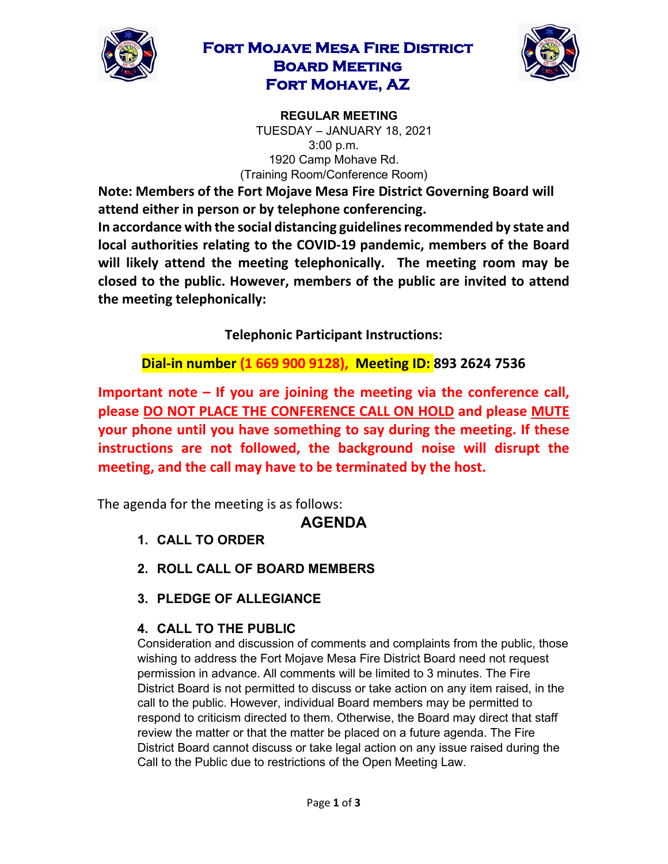

### **Fort Mojave Mesa Fire District Board Meeting Fort Mohave, AZ**



**REGULAR MEETING**  TUESDAY – JANUARY 18, 2021 3:00 p.m. 1920 Camp Mohave Rd. (Training Room/Conference Room)

**Note: Members of the Fort Mojave Mesa Fire District Governing Board will attend either in person or by telephone conferencing.** 

**In accordance with the social distancing guidelines recommended by state and local authorities relating to the COVID-19 pandemic, members of the Board will likely attend the meeting telephonically. The meeting room may be closed to the public. However, members of the public are invited to attend the meeting telephonically:** 

**Telephonic Participant Instructions:**

**Dial-in number (1 669 900 9128), Meeting ID: 893 2624 7536**

**Important note – If you are joining the meeting via the conference call, please DO NOT PLACE THE CONFERENCE CALL ON HOLD and please MUTE your phone until you have something to say during the meeting. If these instructions are not followed, the background noise will disrupt the meeting, and the call may have to be terminated by the host.**

The agenda for the meeting is as follows:

# **AGENDA**

- **1. CALL TO ORDER**
- **2. ROLL CALL OF BOARD MEMBERS**
- **3. PLEDGE OF ALLEGIANCE**

#### **4. CALL TO THE PUBLIC**

Consideration and discussion of comments and complaints from the public, those wishing to address the Fort Mojave Mesa Fire District Board need not request permission in advance. All comments will be limited to 3 minutes. The Fire District Board is not permitted to discuss or take action on any item raised, in the call to the public. However, individual Board members may be permitted to respond to criticism directed to them. Otherwise, the Board may direct that staff review the matter or that the matter be placed on a future agenda. The Fire District Board cannot discuss or take legal action on any issue raised during the Call to the Public due to restrictions of the Open Meeting Law.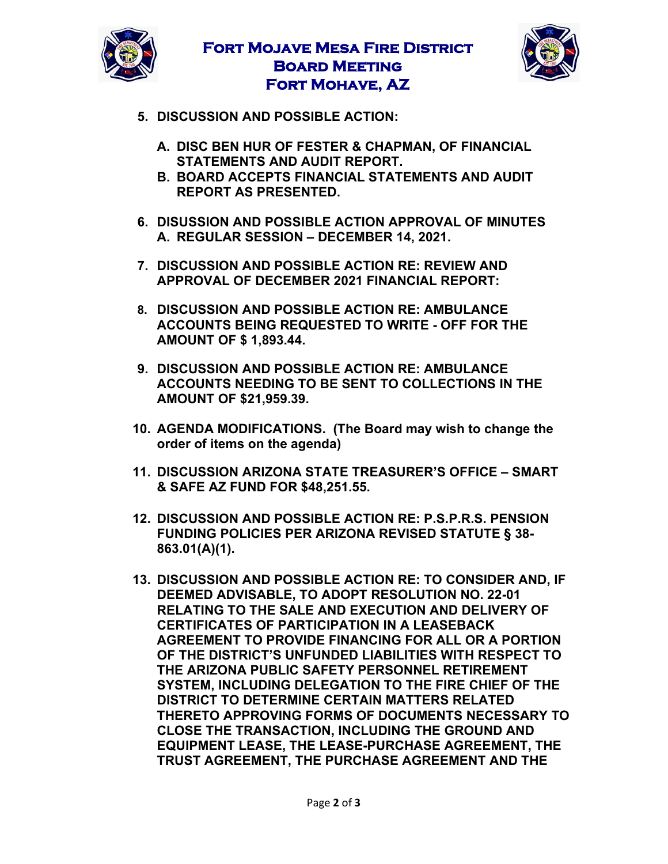

# **Fort Mojave Mesa Fire District Board Meeting Fort Mohave, AZ**



- **5. DISCUSSION AND POSSIBLE ACTION:**
	- **A. DISC BEN HUR OF FESTER & CHAPMAN, OF FINANCIAL STATEMENTS AND AUDIT REPORT.**
	- **B. BOARD ACCEPTS FINANCIAL STATEMENTS AND AUDIT REPORT AS PRESENTED.**
- **6. DISUSSION AND POSSIBLE ACTION APPROVAL OF MINUTES A. REGULAR SESSION – DECEMBER 14, 2021.**
- **7. DISCUSSION AND POSSIBLE ACTION RE: REVIEW AND APPROVAL OF DECEMBER 2021 FINANCIAL REPORT:**
- **8. DISCUSSION AND POSSIBLE ACTION RE: AMBULANCE ACCOUNTS BEING REQUESTED TO WRITE - OFF FOR THE AMOUNT OF \$ 1,893.44.**
- **9. DISCUSSION AND POSSIBLE ACTION RE: AMBULANCE ACCOUNTS NEEDING TO BE SENT TO COLLECTIONS IN THE AMOUNT OF \$21,959.39.**
- **10. AGENDA MODIFICATIONS. (The Board may wish to change the order of items on the agenda)**
- **11. DISCUSSION ARIZONA STATE TREASURER'S OFFICE – SMART & SAFE AZ FUND FOR \$48,251.55.**
- **12. DISCUSSION AND POSSIBLE ACTION RE: P.S.P.R.S. PENSION FUNDING POLICIES PER ARIZONA REVISED STATUTE § 38- 863.01(A)(1).**
- **13. DISCUSSION AND POSSIBLE ACTION RE: TO CONSIDER AND, IF DEEMED ADVISABLE, TO ADOPT RESOLUTION NO. 22-01 RELATING TO THE SALE AND EXECUTION AND DELIVERY OF CERTIFICATES OF PARTICIPATION IN A LEASEBACK AGREEMENT TO PROVIDE FINANCING FOR ALL OR A PORTION OF THE DISTRICT'S UNFUNDED LIABILITIES WITH RESPECT TO THE ARIZONA PUBLIC SAFETY PERSONNEL RETIREMENT SYSTEM, INCLUDING DELEGATION TO THE FIRE CHIEF OF THE DISTRICT TO DETERMINE CERTAIN MATTERS RELATED THERETO APPROVING FORMS OF DOCUMENTS NECESSARY TO CLOSE THE TRANSACTION, INCLUDING THE GROUND AND EQUIPMENT LEASE, THE LEASE-PURCHASE AGREEMENT, THE TRUST AGREEMENT, THE PURCHASE AGREEMENT AND THE**